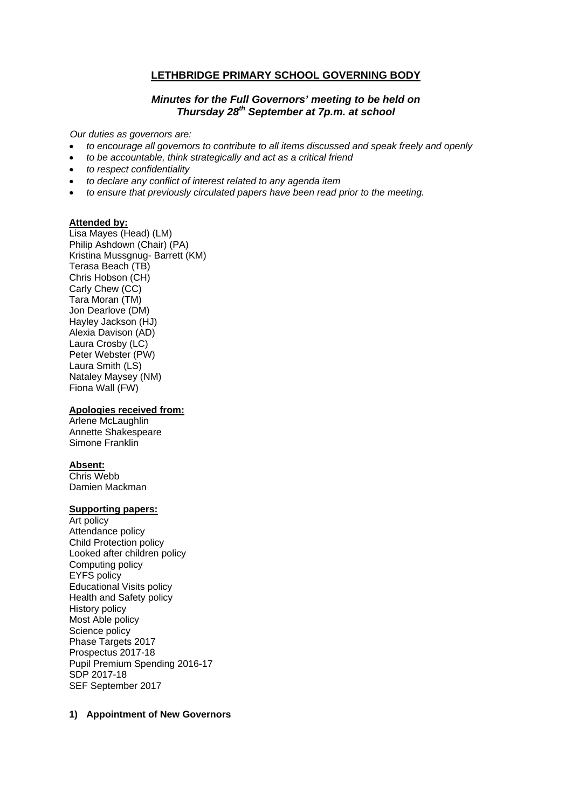# **LETHBRIDGE PRIMARY SCHOOL GOVERNING BODY**

### *Minutes for the Full Governors' meeting to be held on Thursday 28th September at 7p.m. at school*

*Our duties as governors are:* 

- *to encourage all governors to contribute to all items discussed and speak freely and openly*
- *to be accountable, think strategically and act as a critical friend*
- *to respect confidentiality*
- *to declare any conflict of interest related to any agenda item*
- *to ensure that previously circulated papers have been read prior to the meeting.*

#### **Attended by:**

Lisa Mayes (Head) (LM) Philip Ashdown (Chair) (PA) Kristina Mussgnug- Barrett (KM) Terasa Beach (TB) Chris Hobson (CH) Carly Chew (CC) Tara Moran (TM) Jon Dearlove (DM) Hayley Jackson (HJ) Alexia Davison (AD) Laura Crosby (LC) Peter Webster (PW) Laura Smith (LS) Nataley Maysey (NM) Fiona Wall (FW)

#### **Apologies received from:**

Arlene McLaughlin Annette Shakespeare Simone Franklin

#### **Absent:**

Chris Webb Damien Mackman

#### **Supporting papers:**

Art policy Attendance policy Child Protection policy Looked after children policy Computing policy EYFS policy Educational Visits policy Health and Safety policy History policy Most Able policy Science policy Phase Targets 2017 Prospectus 2017-18 Pupil Premium Spending 2016-17 SDP 2017-18 SEF September 2017

#### **1) Appointment of New Governors**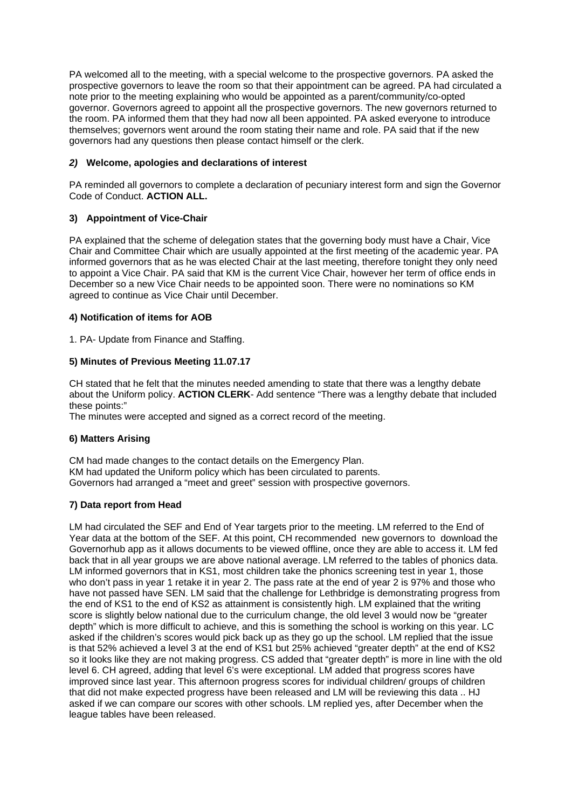PA welcomed all to the meeting, with a special welcome to the prospective governors. PA asked the prospective governors to leave the room so that their appointment can be agreed. PA had circulated a note prior to the meeting explaining who would be appointed as a parent/community/co-opted governor. Governors agreed to appoint all the prospective governors. The new governors returned to the room. PA informed them that they had now all been appointed. PA asked everyone to introduce themselves; governors went around the room stating their name and role. PA said that if the new governors had any questions then please contact himself or the clerk.

## *2)* **Welcome, apologies and declarations of interest**

PA reminded all governors to complete a declaration of pecuniary interest form and sign the Governor Code of Conduct. **ACTION ALL.** 

# **3) Appointment of Vice-Chair**

PA explained that the scheme of delegation states that the governing body must have a Chair, Vice Chair and Committee Chair which are usually appointed at the first meeting of the academic year. PA informed governors that as he was elected Chair at the last meeting, therefore tonight they only need to appoint a Vice Chair. PA said that KM is the current Vice Chair, however her term of office ends in December so a new Vice Chair needs to be appointed soon. There were no nominations so KM agreed to continue as Vice Chair until December.

## **4) Notification of items for AOB**

1. PA- Update from Finance and Staffing.

# **5) Minutes of Previous Meeting 11.07.17**

CH stated that he felt that the minutes needed amending to state that there was a lengthy debate about the Uniform policy. **ACTION CLERK**- Add sentence "There was a lengthy debate that included these points:"

The minutes were accepted and signed as a correct record of the meeting.

## **6) Matters Arising**

CM had made changes to the contact details on the Emergency Plan. KM had updated the Uniform policy which has been circulated to parents. Governors had arranged a "meet and greet" session with prospective governors.

# **7) Data report from Head**

LM had circulated the SEF and End of Year targets prior to the meeting. LM referred to the End of Year data at the bottom of the SEF. At this point, CH recommended new governors to download the Governorhub app as it allows documents to be viewed offline, once they are able to access it. LM fed back that in all year groups we are above national average. LM referred to the tables of phonics data. LM informed governors that in KS1, most children take the phonics screening test in year 1, those who don't pass in year 1 retake it in year 2. The pass rate at the end of year 2 is 97% and those who have not passed have SEN. LM said that the challenge for Lethbridge is demonstrating progress from the end of KS1 to the end of KS2 as attainment is consistently high. LM explained that the writing score is slightly below national due to the curriculum change, the old level 3 would now be "greater depth" which is more difficult to achieve, and this is something the school is working on this year. LC asked if the children's scores would pick back up as they go up the school. LM replied that the issue is that 52% achieved a level 3 at the end of KS1 but 25% achieved "greater depth" at the end of KS2 so it looks like they are not making progress. CS added that "greater depth" is more in line with the old level 6. CH agreed, adding that level 6's were exceptional. LM added that progress scores have improved since last year. This afternoon progress scores for individual children/ groups of children that did not make expected progress have been released and LM will be reviewing this data .. HJ asked if we can compare our scores with other schools. LM replied yes, after December when the league tables have been released.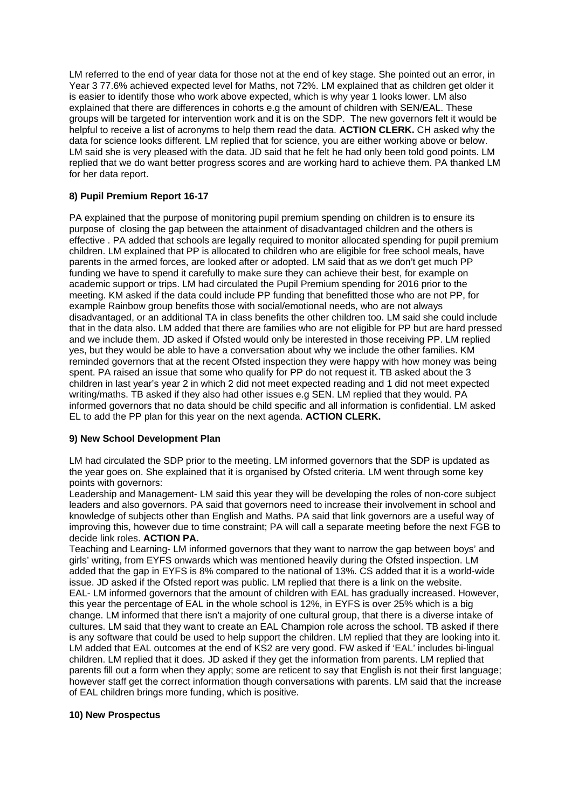LM referred to the end of year data for those not at the end of key stage. She pointed out an error, in Year 3 77.6% achieved expected level for Maths, not 72%. LM explained that as children get older it is easier to identify those who work above expected, which is why year 1 looks lower. LM also explained that there are differences in cohorts e.g the amount of children with SEN/EAL. These groups will be targeted for intervention work and it is on the SDP. The new governors felt it would be helpful to receive a list of acronyms to help them read the data. **ACTION CLERK.** CH asked why the data for science looks different. LM replied that for science, you are either working above or below. LM said she is very pleased with the data. JD said that he felt he had only been told good points. LM replied that we do want better progress scores and are working hard to achieve them. PA thanked LM for her data report.

# **8) Pupil Premium Report 16-17**

PA explained that the purpose of monitoring pupil premium spending on children is to ensure its purpose of closing the gap between the attainment of disadvantaged children and the others is effective . PA added that schools are legally required to monitor allocated spending for pupil premium children. LM explained that PP is allocated to children who are eligible for free school meals, have parents in the armed forces, are looked after or adopted. LM said that as we don't get much PP funding we have to spend it carefully to make sure they can achieve their best, for example on academic support or trips. LM had circulated the Pupil Premium spending for 2016 prior to the meeting. KM asked if the data could include PP funding that benefitted those who are not PP, for example Rainbow group benefits those with social/emotional needs, who are not always disadvantaged, or an additional TA in class benefits the other children too. LM said she could include that in the data also. LM added that there are families who are not eligible for PP but are hard pressed and we include them. JD asked if Ofsted would only be interested in those receiving PP. LM replied yes, but they would be able to have a conversation about why we include the other families. KM reminded governors that at the recent Ofsted inspection they were happy with how money was being spent. PA raised an issue that some who qualify for PP do not request it. TB asked about the 3 children in last year's year 2 in which 2 did not meet expected reading and 1 did not meet expected writing/maths. TB asked if they also had other issues e.g SEN. LM replied that they would. PA informed governors that no data should be child specific and all information is confidential. LM asked EL to add the PP plan for this year on the next agenda. **ACTION CLERK.** 

## **9) New School Development Plan**

LM had circulated the SDP prior to the meeting. LM informed governors that the SDP is updated as the year goes on. She explained that it is organised by Ofsted criteria. LM went through some key points with governors:

Leadership and Management- LM said this year they will be developing the roles of non-core subject leaders and also governors. PA said that governors need to increase their involvement in school and knowledge of subjects other than English and Maths. PA said that link governors are a useful way of improving this, however due to time constraint; PA will call a separate meeting before the next FGB to decide link roles. **ACTION PA.** 

Teaching and Learning- LM informed governors that they want to narrow the gap between boys' and girls' writing, from EYFS onwards which was mentioned heavily during the Ofsted inspection. LM added that the gap in EYFS is 8% compared to the national of 13%. CS added that it is a world-wide issue. JD asked if the Ofsted report was public. LM replied that there is a link on the website. EAL- LM informed governors that the amount of children with EAL has gradually increased. However, this year the percentage of EAL in the whole school is 12%, in EYFS is over 25% which is a big change. LM informed that there isn't a majority of one cultural group, that there is a diverse intake of cultures. LM said that they want to create an EAL Champion role across the school. TB asked if there is any software that could be used to help support the children. LM replied that they are looking into it. LM added that EAL outcomes at the end of KS2 are very good. FW asked if 'EAL' includes bi-lingual children. LM replied that it does. JD asked if they get the information from parents. LM replied that parents fill out a form when they apply; some are reticent to say that English is not their first language; however staff get the correct information though conversations with parents. LM said that the increase of EAL children brings more funding, which is positive.

## **10) New Prospectus**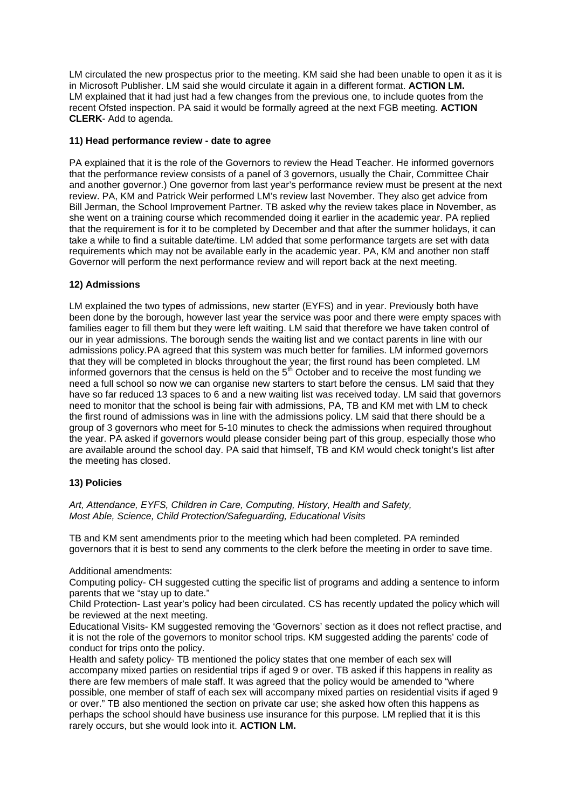LM circulated the new prospectus prior to the meeting. KM said she had been unable to open it as it is in Microsoft Publisher. LM said she would circulate it again in a different format. **ACTION LM.**  LM explained that it had just had a few changes from the previous one, to include quotes from the recent Ofsted inspection. PA said it would be formally agreed at the next FGB meeting. **ACTION CLERK**- Add to agenda.

### **11) Head performance review - date to agree**

PA explained that it is the role of the Governors to review the Head Teacher. He informed governors that the performance review consists of a panel of 3 governors, usually the Chair, Committee Chair and another governor.) One governor from last year's performance review must be present at the next review. PA, KM and Patrick Weir performed LM's review last November. They also get advice from Bill Jerman, the School Improvement Partner. TB asked why the review takes place in November, as she went on a training course which recommended doing it earlier in the academic year. PA replied that the requirement is for it to be completed by December and that after the summer holidays, it can take a while to find a suitable date/time. LM added that some performance targets are set with data requirements which may not be available early in the academic year. PA, KM and another non staff Governor will perform the next performance review and will report back at the next meeting.

### **12) Admissions**

LM explained the two typ**e**s of admissions, new starter (EYFS) and in year. Previously both have been done by the borough, however last year the service was poor and there were empty spaces with families eager to fill them but they were left waiting. LM said that therefore we have taken control of our in year admissions. The borough sends the waiting list and we contact parents in line with our admissions policy.PA agreed that this system was much better for families. LM informed governors that they will be completed in blocks throughout the year; the first round has been completed. LM informed governors that the census is held on the  $5<sup>th</sup>$  October and to receive the most funding we need a full school so now we can organise new starters to start before the census. LM said that they have so far reduced 13 spaces to 6 and a new waiting list was received today. LM said that governors need to monitor that the school is being fair with admissions, PA, TB and KM met with LM to check the first round of admissions was in line with the admissions policy. LM said that there should be a group of 3 governors who meet for 5-10 minutes to check the admissions when required throughout the year. PA asked if governors would please consider being part of this group, especially those who are available around the school day. PA said that himself, TB and KM would check tonight's list after the meeting has closed.

#### **13) Policies**

*Art, Attendance, EYFS, Children in Care, Computing, History, Health and Safety, Most Able, Science, Child Protection/Safeguarding, Educational Visits* 

TB and KM sent amendments prior to the meeting which had been completed. PA reminded governors that it is best to send any comments to the clerk before the meeting in order to save time.

#### Additional amendments:

Computing policy- CH suggested cutting the specific list of programs and adding a sentence to inform parents that we "stay up to date."

Child Protection- Last year's policy had been circulated. CS has recently updated the policy which will be reviewed at the next meeting.

Educational Visits- KM suggested removing the 'Governors' section as it does not reflect practise, and it is not the role of the governors to monitor school trips. KM suggested adding the parents' code of conduct for trips onto the policy.

Health and safety policy- TB mentioned the policy states that one member of each sex will accompany mixed parties on residential trips if aged 9 or over. TB asked if this happens in reality as there are few members of male staff. It was agreed that the policy would be amended to "where possible, one member of staff of each sex will accompany mixed parties on residential visits if aged 9 or over." TB also mentioned the section on private car use; she asked how often this happens as perhaps the school should have business use insurance for this purpose. LM replied that it is this rarely occurs, but she would look into it. **ACTION LM.**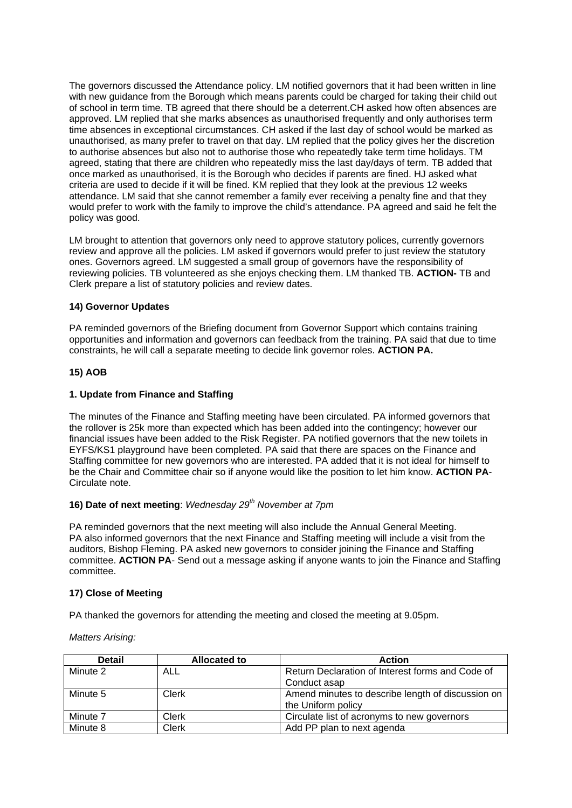The governors discussed the Attendance policy. LM notified governors that it had been written in line with new guidance from the Borough which means parents could be charged for taking their child out of school in term time. TB agreed that there should be a deterrent.CH asked how often absences are approved. LM replied that she marks absences as unauthorised frequently and only authorises term time absences in exceptional circumstances. CH asked if the last day of school would be marked as unauthorised, as many prefer to travel on that day. LM replied that the policy gives her the discretion to authorise absences but also not to authorise those who repeatedly take term time holidays. TM agreed, stating that there are children who repeatedly miss the last day/days of term. TB added that once marked as unauthorised, it is the Borough who decides if parents are fined. HJ asked what criteria are used to decide if it will be fined. KM replied that they look at the previous 12 weeks attendance. LM said that she cannot remember a family ever receiving a penalty fine and that they would prefer to work with the family to improve the child's attendance. PA agreed and said he felt the policy was good.

LM brought to attention that governors only need to approve statutory polices, currently governors review and approve all the policies. LM asked if governors would prefer to just review the statutory ones. Governors agreed. LM suggested a small group of governors have the responsibility of reviewing policies. TB volunteered as she enjoys checking them. LM thanked TB. **ACTION-** TB and Clerk prepare a list of statutory policies and review dates.

## **14) Governor Updates**

PA reminded governors of the Briefing document from Governor Support which contains training opportunities and information and governors can feedback from the training. PA said that due to time constraints, he will call a separate meeting to decide link governor roles. **ACTION PA.**

### **15) AOB**

### **1. Update from Finance and Staffing**

The minutes of the Finance and Staffing meeting have been circulated. PA informed governors that the rollover is 25k more than expected which has been added into the contingency; however our financial issues have been added to the Risk Register. PA notified governors that the new toilets in EYFS/KS1 playground have been completed. PA said that there are spaces on the Finance and Staffing committee for new governors who are interested. PA added that it is not ideal for himself to be the Chair and Committee chair so if anyone would like the position to let him know. **ACTION PA**-Circulate note.

#### **16) Date of next meeting**: *Wednesday 29th November at 7pm*

PA reminded governors that the next meeting will also include the Annual General Meeting. PA also informed governors that the next Finance and Staffing meeting will include a visit from the auditors, Bishop Fleming. PA asked new governors to consider joining the Finance and Staffing committee. **ACTION PA**- Send out a message asking if anyone wants to join the Finance and Staffing committee.

#### **17) Close of Meeting**

PA thanked the governors for attending the meeting and closed the meeting at 9.05pm.

#### *Matters Arising:*

| <b>Detail</b> | <b>Allocated to</b> | <b>Action</b>                                     |
|---------------|---------------------|---------------------------------------------------|
| Minute 2      | ALL                 | Return Declaration of Interest forms and Code of  |
|               |                     | Conduct asap                                      |
| Minute 5      | Clerk               | Amend minutes to describe length of discussion on |
|               |                     | the Uniform policy                                |
| Minute 7      | Clerk               | Circulate list of acronyms to new governors       |
| Minute 8      | Clerk               | Add PP plan to next agenda                        |